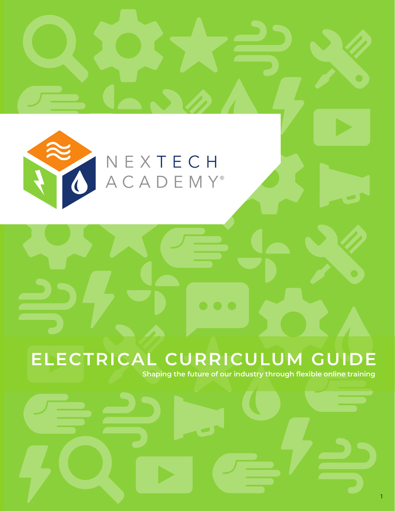

# NEXTECH<br>ACADEMY®

# **ELECTRICAL CURRICULUM GUIDE**

**Shaping the future of our industry through flexible online training**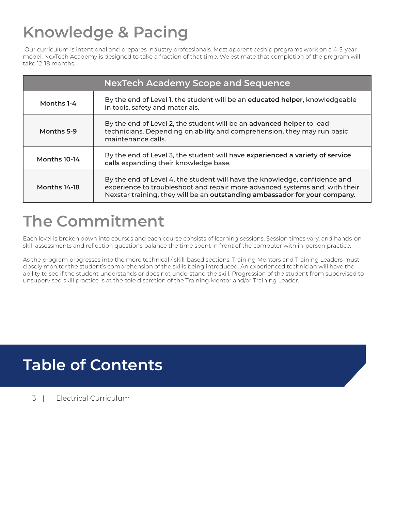# **Knowledge & Pacing**

 Our curriculum is intentional and prepares industry professionals. Most apprenticeship programs work on a 4-5-year model. NexTech Academy is designed to take a fraction of that time. We estimate that completion of the program will take 12-18 months.

| <b>NexTech Academy Scope and Sequence</b> |                                                                                                                                                                                                                                         |  |
|-------------------------------------------|-----------------------------------------------------------------------------------------------------------------------------------------------------------------------------------------------------------------------------------------|--|
| Months 1-4                                | By the end of Level 1, the student will be an educated helper, knowledgeable<br>in tools, safety and materials.                                                                                                                         |  |
| Months 5-9                                | By the end of Level 2, the student will be an advanced helper to lead<br>technicians. Depending on ability and comprehension, they may run basic<br>maintenance calls.                                                                  |  |
| Months 10-14                              | By the end of Level 3, the student will have experienced a variety of service<br>calls expanding their knowledge base.                                                                                                                  |  |
| Months 14-18                              | By the end of Level 4, the student will have the knowledge, confidence and<br>experience to troubleshoot and repair more advanced systems and, with their<br>Nexstar training, they will be an outstanding ambassador for your company. |  |

## **The Commitment**

Each level is broken down into courses and each course consists of learning sessions, Session times vary, and hands-on skill assessments and reflection questions balance the time spent in front of the computer with in-person practice.

As the program progresses into the more technical / skill-based sections, Training Mentors and Training Leaders must closely monitor the student's comprehension of the skills being introduced. An experienced technician will have the ability to see if the student understands or does not understand the skill. Progression of the student from supervised to unsupervised skill practice is at the sole discretion of the Training Mentor and/or Training Leader.

### **Table of Contents**

3 | Electrical Curriculum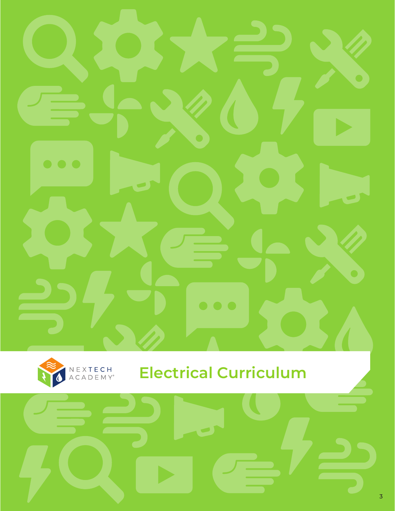



### **Electrical Curriculum**

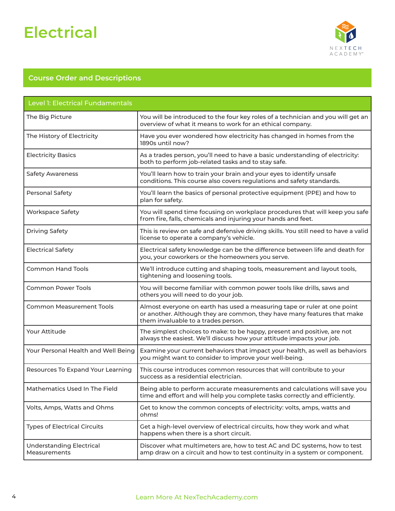

| Level 1: Electrical Fundamentals                |                                                                                                                                                                                            |  |
|-------------------------------------------------|--------------------------------------------------------------------------------------------------------------------------------------------------------------------------------------------|--|
| The Big Picture                                 | You will be introduced to the four key roles of a technician and you will get an<br>overview of what it means to work for an ethical company.                                              |  |
| The History of Electricity                      | Have you ever wondered how electricity has changed in homes from the<br>1890s until now?                                                                                                   |  |
| <b>Electricity Basics</b>                       | As a trades person, you'll need to have a basic understanding of electricity:<br>both to perform job-related tasks and to stay safe.                                                       |  |
| <b>Safety Awareness</b>                         | You'll learn how to train your brain and your eyes to identify unsafe<br>conditions. This course also covers regulations and safety standards.                                             |  |
| <b>Personal Safety</b>                          | You'll learn the basics of personal protective equipment (PPE) and how to<br>plan for safety.                                                                                              |  |
| <b>Workspace Safety</b>                         | You will spend time focusing on workplace procedures that will keep you safe<br>from fire, falls, chemicals and injuring your hands and feet.                                              |  |
| <b>Driving Safety</b>                           | This is review on safe and defensive driving skills. You still need to have a valid<br>license to operate a company's vehicle.                                                             |  |
| <b>Electrical Safety</b>                        | Electrical safety knowledge can be the difference between life and death for<br>you, your coworkers or the homeowners you serve.                                                           |  |
| <b>Common Hand Tools</b>                        | We'll introduce cutting and shaping tools, measurement and layout tools,<br>tightening and loosening tools.                                                                                |  |
| <b>Common Power Tools</b>                       | You will become familiar with common power tools like drills, saws and<br>others you will need to do your job.                                                                             |  |
| <b>Common Measurement Tools</b>                 | Almost everyone on earth has used a measuring tape or ruler at one point<br>or another. Although they are common, they have many features that make<br>them invaluable to a trades person. |  |
| Your Attitude                                   | The simplest choices to make: to be happy, present and positive, are not<br>always the easiest. We'll discuss how your attitude impacts your job.                                          |  |
| Your Personal Health and Well Being             | Examine your current behaviors that impact your health, as well as behaviors<br>you might want to consider to improve your well-being.                                                     |  |
| Resources To Expand Your Learning               | This course introduces common resources that will contribute to your<br>success as a residential electrician.                                                                              |  |
| Mathematics Used In The Field                   | Being able to perform accurate measurements and calculations will save you<br>time and effort and will help you complete tasks correctly and efficiently.                                  |  |
| Volts, Amps, Watts and Ohms                     | Get to know the common concepts of electricity: volts, amps, watts and<br>ohms!                                                                                                            |  |
| <b>Types of Electrical Circuits</b>             | Get a high-level overview of electrical circuits, how they work and what<br>happens when there is a short circuit.                                                                         |  |
| <b>Understanding Electrical</b><br>Measurements | Discover what multimeters are, how to test AC and DC systems, how to test<br>amp draw on a circuit and how to test continuity in a system or component.                                    |  |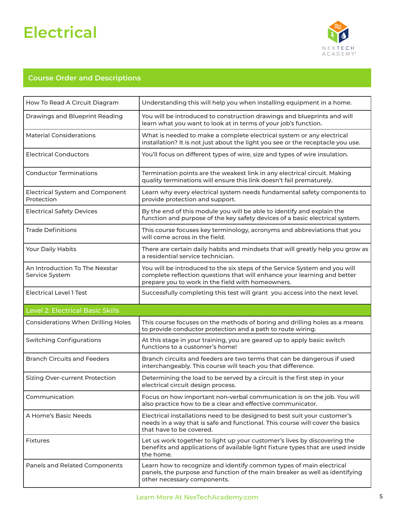

| How To Read A Circuit Diagram                        | Understanding this will help you when installing equipment in a home.                                                                                                                                       |
|------------------------------------------------------|-------------------------------------------------------------------------------------------------------------------------------------------------------------------------------------------------------------|
| Drawings and Blueprint Reading                       | You will be introduced to construction drawings and blueprints and will<br>learn what you want to look at in terms of your job's function.                                                                  |
| <b>Material Considerations</b>                       | What is needed to make a complete electrical system or any electrical<br>installation? It is not just about the light you see or the receptacle you use.                                                    |
| <b>Electrical Conductors</b>                         | You'll focus on different types of wire, size and types of wire insulation.                                                                                                                                 |
| <b>Conductor Terminations</b>                        | Termination points are the weakest link in any electrical circuit. Making<br>quality terminations will ensure this link doesn't fail prematurely.                                                           |
| <b>Electrical System and Component</b><br>Protection | Learn why every electrical system needs fundamental safety components to<br>provide protection and support.                                                                                                 |
| <b>Electrical Safety Devices</b>                     | By the end of this module you will be able to identify and explain the<br>function and purpose of the key safety devices of a basic electrical system.                                                      |
| <b>Trade Definitions</b>                             | This course focuses key terminology, acronyms and abbreviations that you<br>will come across in the field.                                                                                                  |
| Your Daily Habits                                    | There are certain daily habits and mindsets that will greatly help you grow as<br>a residential service technician.                                                                                         |
| An Introduction To The Nexstar<br>Service System     | You will be introduced to the six steps of the Service System and you will<br>complete reflection questions that will enhance your learning and better<br>prepare you to work in the field with homeowners. |
| <b>Electrical Level 1 Test</b>                       | Successfully completing this test will grant you access into the next level.                                                                                                                                |
| <b>Level 2: Electrical Basic Skills</b>              |                                                                                                                                                                                                             |
| <b>Considerations When Drilling Holes</b>            | This course focuses on the methods of boring and drilling holes as a means<br>to provide conductor protection and a path to route wiring.                                                                   |
| <b>Switching Configurations</b>                      | At this stage in your training, you are geared up to apply basic switch<br>functions to a customer's home!                                                                                                  |
| <b>Branch Circuits and Feeders</b>                   | Branch circuits and feeders are two terms that can be dangerous if used<br>interchangeably. This course will teach you that difference.                                                                     |
| Sizing Over-current Protection                       | Determining the load to be served by a circuit is the first step in your<br>electrical circuit design process.                                                                                              |
| Communication                                        | Focus on how important non-verbal communication is on the job. You will<br>also practice how to be a clear and effective communicator.                                                                      |
| A Home's Basic Needs                                 | Electrical installations need to be designed to best suit your customer's<br>needs in a way that is safe and functional. This course will cover the basics<br>that have to be covered.                      |
| <b>Fixtures</b>                                      | Let us work together to light up your customer's lives by discovering the<br>benefits and applications of available light fixture types that are used inside<br>the home.                                   |
| Panels and Related Components                        | Learn how to recognize and identify common types of main electrical<br>panels, the purpose and function of the main breaker as well as identifying<br>other necessary components.                           |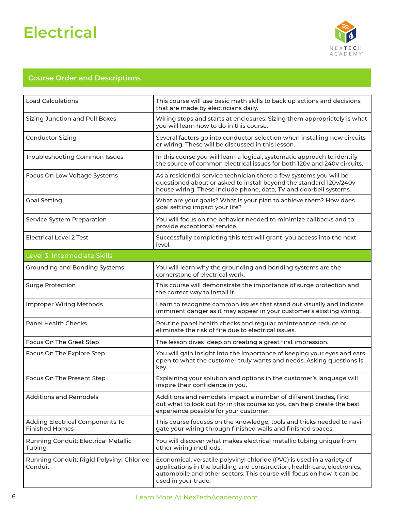

| <b>Load Calculations</b>                                 | This course will use basic math skills to back up actions and decisions<br>that are made by electricians daily.                                                                                                                                    |  |  |  |
|----------------------------------------------------------|----------------------------------------------------------------------------------------------------------------------------------------------------------------------------------------------------------------------------------------------------|--|--|--|
| <b>Sizing Junction and Pull Boxes</b>                    | Wiring stops and starts at enclosures. Sizing them appropriately is what<br>you will learn how to do in this course.                                                                                                                               |  |  |  |
| <b>Conductor Sizing</b>                                  | Several factors go into conductor selection when installing new circuits<br>or wiring. These will be discussed in this lesson.                                                                                                                     |  |  |  |
| Troubleshooting Common Issues                            | In this course you will learn a logical, systematic approach to identify<br>the source of common electrical issues for both 120v and 240v circuits.                                                                                                |  |  |  |
| Focus On Low Voltage Systems                             | As a residential service technician there a few systems you will be<br>questioned about or asked to install beyond the standard 120v/240v<br>house wiring. These include phone, data, TV and doorbell systems.                                     |  |  |  |
| <b>Goal Setting</b>                                      | What are your goals? What is your plan to achieve them? How does<br>goal setting impact your life?                                                                                                                                                 |  |  |  |
| Service System Preparation                               | You will focus on the behavior needed to minimize callbacks and to<br>provide exceptional service.                                                                                                                                                 |  |  |  |
| <b>Electrical Level 2 Test</b>                           | Successfully completing this test will grant you access into the next<br>level.                                                                                                                                                                    |  |  |  |
| Level 3: Intermediate Skills                             |                                                                                                                                                                                                                                                    |  |  |  |
| Grounding and Bonding Systems                            | You will learn why the grounding and bonding systems are the<br>cornerstone of electrical work.                                                                                                                                                    |  |  |  |
| <b>Surge Protection</b>                                  | This course will demonstrate the importance of surge protection and<br>the correct way to install it.                                                                                                                                              |  |  |  |
| <b>Improper Wiring Methods</b>                           | Learn to recognize common issues that stand out visually and indicate<br>imminent danger as it may appear in your customer's existing wiring.                                                                                                      |  |  |  |
| <b>Panel Health Checks</b>                               | Routine panel health checks and regular maintenance reduce or<br>eliminate the risk of fire due to electrical issues.                                                                                                                              |  |  |  |
| Focus On The Greet Step                                  | The lesson dives deep on creating a great first impression.                                                                                                                                                                                        |  |  |  |
| Focus On The Explore Step                                | You will gain insight into the importance of keeping your eyes and ears<br>open to what the customer truly wants and needs. Asking questions is<br>key.                                                                                            |  |  |  |
| Focus On The Present Step                                | Explaining your solution and options in the customer's language will<br>inspire their confidence in you.                                                                                                                                           |  |  |  |
| <b>Additions and Remodels</b>                            | Additions and remodels impact a number of different trades, find<br>out what to look out for in this course so you can help create the best<br>experience possible for your customer.                                                              |  |  |  |
| Adding Electrical Components To<br><b>Finished Homes</b> | This course focuses on the knowledge, tools and tricks needed to navi-<br>gate your wiring through finished walls and finished spaces.                                                                                                             |  |  |  |
| Running Conduit: Electrical Metallic<br>Tubing           | You will discover what makes electrical metallic tubing unique from<br>other wiring methods.                                                                                                                                                       |  |  |  |
| Running Conduit: Rigid Polyvinyl Chloride<br>Conduit     | Economical, versatile polyvinyl chloride (PVC) is used in a variety of<br>applications in the building and construction, health care, electronics,<br>automobile and other sectors. This course will focus on how it can be<br>used in your trade. |  |  |  |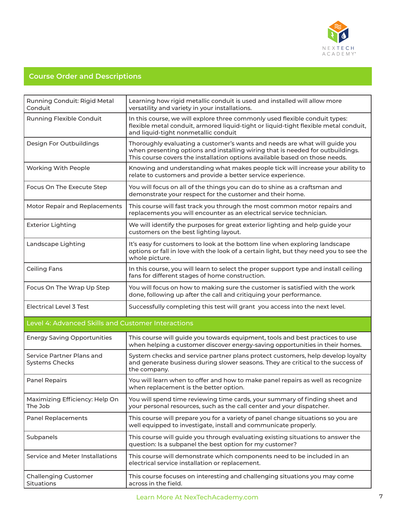

| Running Conduit: Rigid Metal<br>Conduit            | Learning how rigid metallic conduit is used and installed will allow more<br>versatility and variety in your installations.                                                                                                                 |  |  |  |
|----------------------------------------------------|---------------------------------------------------------------------------------------------------------------------------------------------------------------------------------------------------------------------------------------------|--|--|--|
| Running Flexible Conduit                           | In this course, we will explore three commonly used flexible conduit types:<br>flexible metal conduit, armored liquid-tight or liquid-tight flexible metal conduit,<br>and liquid-tight nonmetallic conduit                                 |  |  |  |
| Design For Outbuildings                            | Thoroughly evaluating a customer's wants and needs are what will guide you<br>when presenting options and installing wiring that is needed for outbuildings.<br>This course covers the installation options available based on those needs. |  |  |  |
| Working With People                                | Knowing and understanding what makes people tick will increase your ability to<br>relate to customers and provide a better service experience.                                                                                              |  |  |  |
| Focus On The Execute Step                          | You will focus on all of the things you can do to shine as a craftsman and<br>demonstrate your respect for the customer and their home.                                                                                                     |  |  |  |
| Motor Repair and Replacements                      | This course will fast track you through the most common motor repairs and<br>replacements you will encounter as an electrical service technician.                                                                                           |  |  |  |
| <b>Exterior Lighting</b>                           | We will identify the purposes for great exterior lighting and help guide your<br>customers on the best lighting layout.                                                                                                                     |  |  |  |
| Landscape Lighting                                 | It's easy for customers to look at the bottom line when exploring landscape<br>options or fall in love with the look of a certain light, but they need you to see the<br>whole picture.                                                     |  |  |  |
| <b>Ceiling Fans</b>                                | In this course, you will learn to select the proper support type and install ceiling<br>fans for different stages of home construction.                                                                                                     |  |  |  |
| Focus On The Wrap Up Step                          | You will focus on how to making sure the customer is satisfied with the work<br>done, following up after the call and critiquing your performance.                                                                                          |  |  |  |
| <b>Electrical Level 3 Test</b>                     | Successfully completing this test will grant you access into the next level.                                                                                                                                                                |  |  |  |
| Level 4: Advanced Skills and Customer Interactions |                                                                                                                                                                                                                                             |  |  |  |
| <b>Energy Saving Opportunities</b>                 | This course will guide you towards equipment, tools and best practices to use<br>when helping a customer discover energy-saving opportunities in their homes.                                                                               |  |  |  |
| Service Partner Plans and<br><b>Systems Checks</b> | System checks and service partner plans protect customers, help develop loyalty<br>and generate business during slower seasons. They are critical to the success of<br>the company.                                                         |  |  |  |
| <b>Panel Repairs</b>                               | You will learn when to offer and how to make panel repairs as well as recognize<br>when replacement is the better option.                                                                                                                   |  |  |  |
| Maximizing Efficiency: Help On<br>The Job          | You will spend time reviewing time cards, your summary of finding sheet and<br>your personal resources, such as the call center and your dispatcher.                                                                                        |  |  |  |
| <b>Panel Replacements</b>                          | This course will prepare you for a variety of panel change situations so you are<br>well equipped to investigate, install and communicate properly.                                                                                         |  |  |  |
| Subpanels                                          | This course will guide you through evaluating existing situations to answer the<br>question: Is a subpanel the best option for my customer?                                                                                                 |  |  |  |
| Service and Meter Installations                    | This course will demonstrate which components need to be included in an<br>electrical service installation or replacement.                                                                                                                  |  |  |  |
| <b>Challenging Customer</b><br>Situations          | This course focuses on interesting and challenging situations you may come<br>across in the field.                                                                                                                                          |  |  |  |